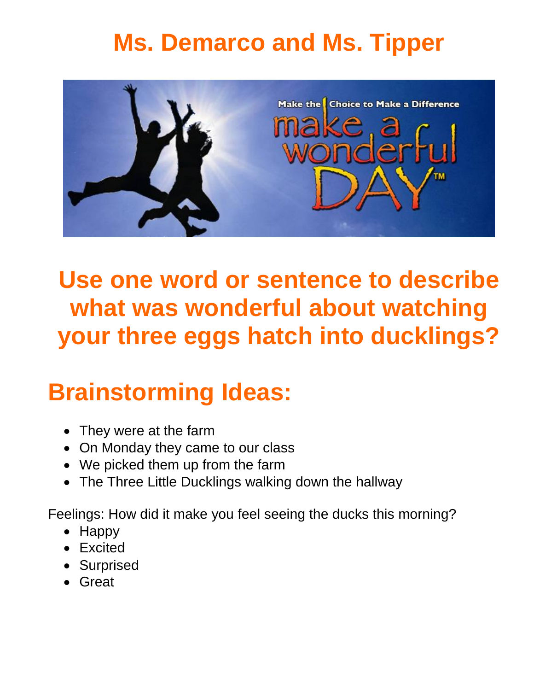### **Ms. Demarco and Ms. Tipper**



**Use one word or sentence to describe what was wonderful about watching your three eggs hatch into ducklings?**

## **Brainstorming Ideas:**

- They were at the farm
- On Monday they came to our class
- We picked them up from the farm
- The Three Little Ducklings walking down the hallway

Feelings: How did it make you feel seeing the ducks this morning?

- Happy
- Excited
- Surprised
- Great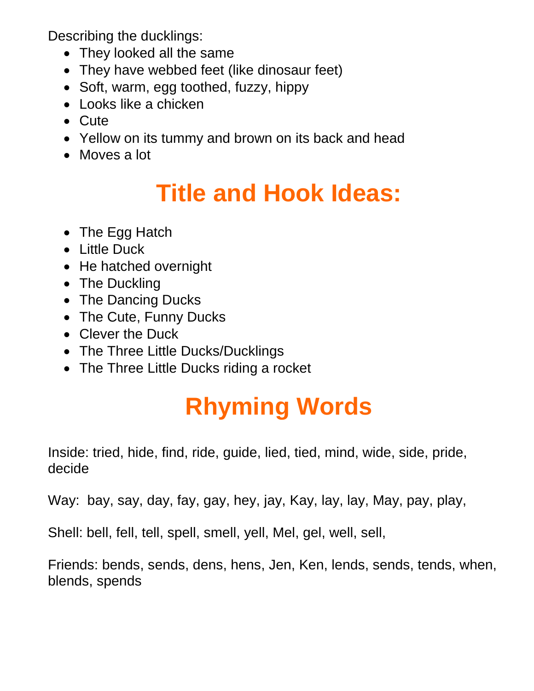Describing the ducklings:

- They looked all the same
- They have webbed feet (like dinosaur feet)
- Soft, warm, egg toothed, fuzzy, hippy
- Looks like a chicken
- Cute
- Yellow on its tummy and brown on its back and head
- Moves a lot

### **Title and Hook Ideas:**

- The Egg Hatch
- Little Duck
- He hatched overnight
- The Duckling
- The Dancing Ducks
- The Cute, Funny Ducks
- Clever the Duck
- The Three Little Ducks/Ducklings
- The Three Little Ducks riding a rocket

# **Rhyming Words**

Inside: tried, hide, find, ride, guide, lied, tied, mind, wide, side, pride, decide

Way: bay, say, day, fay, gay, hey, jay, Kay, lay, lay, May, pay, play,

Shell: bell, fell, tell, spell, smell, yell, Mel, gel, well, sell,

Friends: bends, sends, dens, hens, Jen, Ken, lends, sends, tends, when, blends, spends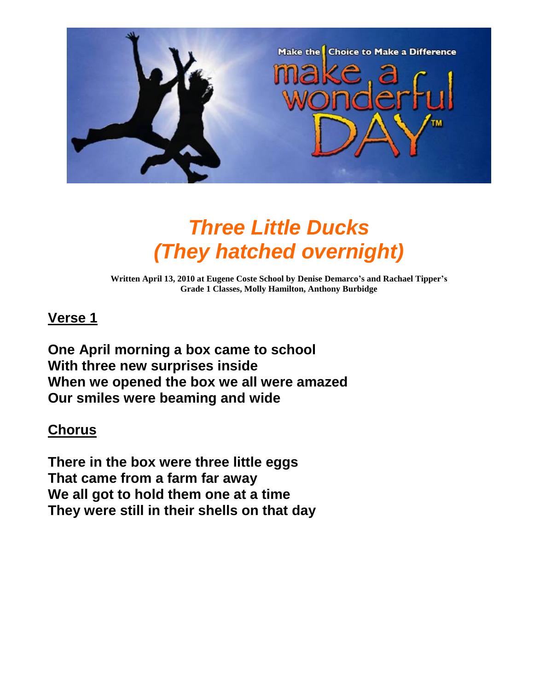

### *Three Little Ducks (They hatched overnight)*

**Written April 13, 2010 at Eugene Coste School by Denise Demarco's and Rachael Tipper's Grade 1 Classes, Molly Hamilton, Anthony Burbidge**

#### **Verse 1**

**One April morning a box came to school With three new surprises inside When we opened the box we all were amazed Our smiles were beaming and wide**

#### **Chorus**

**There in the box were three little eggs That came from a farm far away We all got to hold them one at a time They were still in their shells on that day**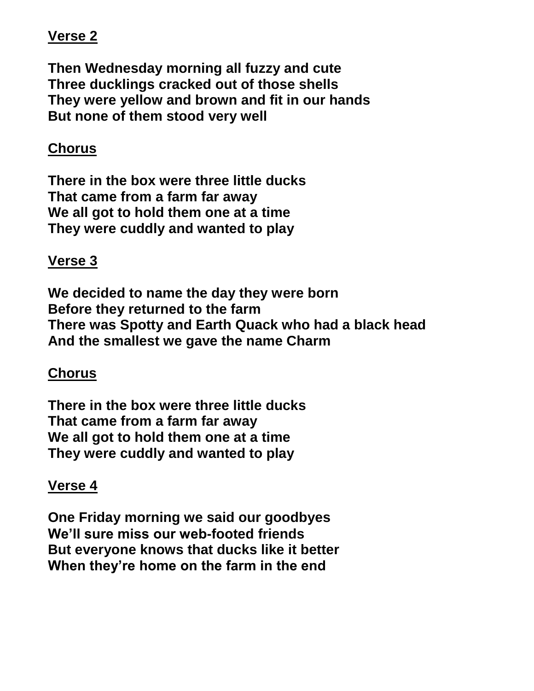#### **Verse 2**

**Then Wednesday morning all fuzzy and cute Three ducklings cracked out of those shells They were yellow and brown and fit in our hands But none of them stood very well**

#### **Chorus**

**There in the box were three little ducks That came from a farm far away We all got to hold them one at a time They were cuddly and wanted to play**

#### **Verse 3**

**We decided to name the day they were born Before they returned to the farm There was Spotty and Earth Quack who had a black head And the smallest we gave the name Charm**

#### **Chorus**

**There in the box were three little ducks That came from a farm far away We all got to hold them one at a time They were cuddly and wanted to play**

#### **Verse 4**

**One Friday morning we said our goodbyes We'll sure miss our web-footed friends But everyone knows that ducks like it better When they're home on the farm in the end**